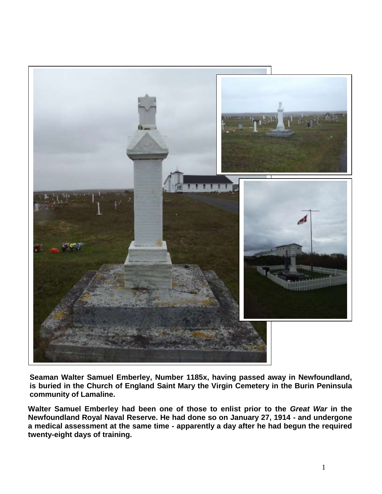

**Seaman Walter Samuel Emberley, Number 1185x, having passed away in Newfoundland, is buried in the Church of England Saint Mary the Virgin Cemetery in the Burin Peninsula community of Lamaline.**

**Walter Samuel Emberley had been one of those to enlist prior to the** *Great War* **in the Newfoundland Royal Naval Reserve. He had done so on January 27, 1914 - and undergone a medical assessment at the same time - apparently a day after he had begun the required twenty-eight days of training.**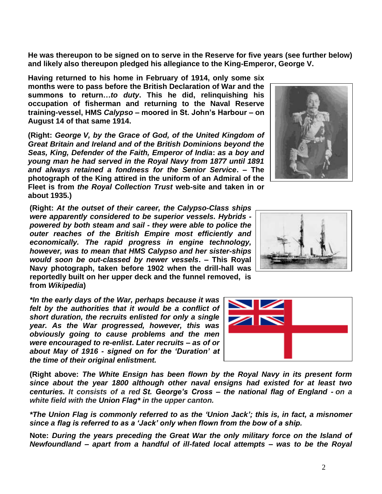**He was thereupon to be signed on to serve in the Reserve for five years (see further below) and likely also thereupon pledged his allegiance to the King-Emperor, George V.**

**Having returned to his home in February of 1914, only some six months were to pass before the British Declaration of War and the summons to return…***to duty***. This he did, relinquishing his occupation of fisherman and returning to the Naval Reserve training-vessel, HMS** *Calypso* **– moored in St. John's Harbour – on August 14 of that same 1914.** 

**(Right:** *George V, by the Grace of God, of the United Kingdom of Great Britain and Ireland and of the British Dominions beyond the Seas, King, Defender of the Faith, Emperor of India***:** *as a boy and young man he had served in the Royal Navy from 1877 until 1891 and always retained a fondness for the Senior Service***. – The photograph of the King attired in the uniform of an Admiral of the Fleet is from** *the Royal Collection Trust* **web-site and taken in or about 1935.)**

**(Right:** *At the outset of their career, the Calypso-Class ships were apparently considered to be superior vessels. Hybrids powered by both steam and sail - they were able to police the outer reaches of the British Empire most efficiently and economically. The rapid progress in engine technology, however, was to mean that HMS Calypso and her sister-ships would soon be out-classed by newer vessels***. – This Royal Navy photograph, taken before 1902 when the drill-hall was reportedly built on her upper deck and the funnel removed, is from** *Wikipedia***)**

*\*In the early days of the War, perhaps because it was felt by the authorities that it would be a conflict of short duration, the recruits enlisted for only a single year. As the War progressed, however, this was obviously going to cause problems and the men were encouraged to re-enlist***.** *Later recruits – as of or about May of 1916 - signed on for the 'Duration' at the time of their original enlistment.*

**(Right above:** *The White Ensign has been flown by the Royal Navy in its present form since about the year 1800 although other naval ensigns had existed for at least two centuries. It consists of a red St. George's Cross – the national flag of England - on a white field with the Union Flag\* in the upper canton.*

*\*The Union Flag is commonly referred to as the 'Union Jack'; this is, in fact, a misnomer since a flag is referred to as a 'Jack' only when flown from the bow of a ship.*

**Note:** *During the years preceding the Great War the only military force on the Island of Newfoundland – apart from a handful of ill-fated local attempts – was to be the Royal* 





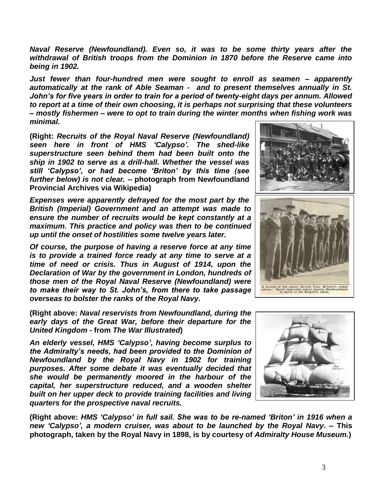*Naval Reserve (Newfoundland). Even so, it was to be some thirty years after the withdrawal of British troops from the Dominion in 1870 before the Reserve came into being in 1902.* 

*Just fewer than four-hundred men were sought to enroll as seamen – apparently automatically at the rank of Able Seaman - and to present themselves annually in St. John's for five years in order to train for a period of twenty-eight days per annum. Allowed to report at a time of their own choosing, it is perhaps not surprising that these volunteers – mostly fishermen – were to opt to train during the winter months when fishing work was minimal.*

**(Right:** *Recruits of the Royal Naval Reserve (Newfoundland) seen here in front of HMS 'Calypso'. The shed-like superstructure seen behind them had been built onto the ship in 1902 to serve as a drill-hall. Whether the vessel was still 'Calypso', or had become 'Briton' by this time (see further below) is not clear.* **– photograph from Newfoundland Provincial Archives via Wikipedia)**

*Expenses were apparently defrayed for the most part by the British (Imperial) Government and an attempt was made to ensure the number of recruits would be kept constantly at a maximum. This practice and policy was then to be continued up until the onset of hostilities some twelve years later.*

*Of course, the purpose of having a reserve force at any time is to provide a trained force ready at any time to serve at a time of need or crisis. Thus in August of 1914, upon the Declaration of War by the government in London, hundreds of those men of the Royal Naval Reserve (Newfoundland) were to make their way to St. John's, from there to take passage overseas to bolster the ranks of the Royal Navy.*

**(Right above:** *Naval reservists from Newfoundland, during the early days of the Great War, before their departure for the United Kingdom* **- from** *The War Illustrated***)**

*An elderly vessel, HMS 'Calypso', having become surplus to the Admiralty's needs, had been provided to the Dominion of Newfoundland by the Royal Navy in 1902 for training purposes. After some debate it was eventually decided that she would be permanently moored in the harbour of the capital, her superstructure reduced, and a wooden shelter built on her upper deck to provide training facilities and living quarters for the prospective naval recruits.*

**(Right above:** *HMS 'Calypso' in full sail. She was to be re-named 'Briton' in 1916 when a new 'Calypso', a modern cruiser, was about to be launched by the Royal Navy***. – This photograph, taken by the Royal Navy in 1898, is by courtesy of** *Admiralty House Museum.***)**



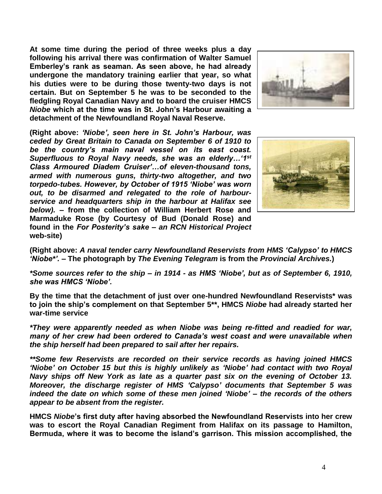**At some time during the period of three weeks plus a day following his arrival there was confirmation of Walter Samuel Emberley's rank as seaman. As seen above, he had already undergone the mandatory training earlier that year, so what his duties were to be during those twenty-two days is not certain. But on September 5 he was to be seconded to the fledgling Royal Canadian Navy and to board the cruiser HMCS**  *Niobe* **which at the time was in St. John's Harbour awaiting a detachment of the Newfoundland Royal Naval Reserve.**



**(Right above:** *'Niobe', seen here in St. John's Harbour, was ceded by Great Britain to Canada on September 6 of 1910 to be the country's main naval vessel on its east coast. Superfluous to Royal Navy needs, she was an elderly…'1st Class Armoured Diadem Cruiser'…of eleven-thousand tons, armed with numerous guns, thirty-two altogether, and two torpedo-tubes. However, by October of 1915 'Niobe' was worn out, to be disarmed and relegated to the role of harbourservice and headquarters ship in the harbour at Halifax see below).* **– from the collection of William Herbert Rose and Marmaduke Rose (by Courtesy of Bud (Donald Rose) and found in the** *For Posterity's sake – an RCN Historical Project* **web-site)**



**(Right above:** *A naval tender carry Newfoundland Reservists from HMS 'Calypso' to HMCS 'Niobe\*'. –* **The photograph by** *The Evening Telegram* **is from the** *Provincial Archives.***)**

*\*Some sources refer to the ship – in 1914 - as HMS 'Niobe', but as of September 6, 1910, she was HMCS 'Niobe'.*

**By the time that the detachment of just over one-hundred Newfoundland Reservists\* was to join the ship's complement on that September 5\*\*, HMCS** *Niobe* **had already started her war-time service**

*\*They were apparently needed as when Niobe was being re-fitted and readied for war, many of her crew had been ordered to Canada's west coast and were unavailable when the ship herself had been prepared to sail after her repairs.* 

*\*\*Some few Reservists are recorded on their service records as having joined HMCS 'Niobe' on October 15 but this is highly unlikely as 'Niobe' had contact with two Royal Navy ships off New York as late as a quarter past six on the evening of October 13. Moreover, the discharge register of HMS 'Calypso' documents that September 5 was indeed the date on which some of these men joined 'Niobe' – the records of the others appear to be absent from the register.*

**HMCS** *Niobe***'s first duty after having absorbed the Newfoundland Reservists into her crew was to escort the Royal Canadian Regiment from Halifax on its passage to Hamilton, Bermuda, where it was to become the island's garrison. This mission accomplished, the**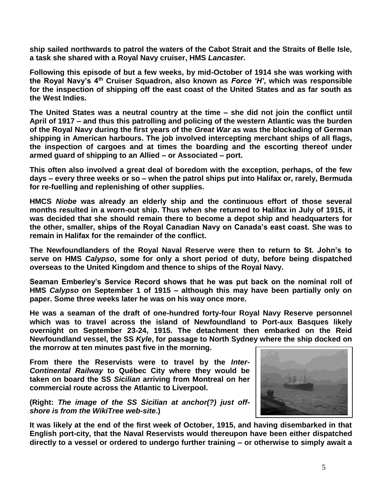**ship sailed northwards to patrol the waters of the Cabot Strait and the Straits of Belle Isle, a task she shared with a Royal Navy cruiser, HMS** *Lancaster***.**

**Following this episode of but a few weeks, by mid-October of 1914 she was working with the Royal Navy's 4th Cruiser Squadron, also known as** *Force 'H'***, which was responsible for the inspection of shipping off the east coast of the United States and as far south as the West Indies.**

**The United States was a neutral country at the time – she did not join the conflict until April of 1917 – and thus this patrolling and policing of the western Atlantic was the burden of the Royal Navy during the first years of the** *Great War* **as was the blockading of German shipping in American harbours. The job involved intercepting merchant ships of all flags, the inspection of cargoes and at times the boarding and the escorting thereof under armed guard of shipping to an Allied – or Associated – port.**

**This often also involved a great deal of boredom with the exception, perhaps, of the few days – every three weeks or so – when the patrol ships put into Halifax or, rarely, Bermuda for re-fuelling and replenishing of other supplies.**

**HMCS** *Niobe* **was already an elderly ship and the continuous effort of those several months resulted in a worn-out ship. Thus when she returned to Halifax in July of 1915, it was decided that she should remain there to become a depot ship and headquarters for the other, smaller, ships of the Royal Canadian Navy on Canada's east coast. She was to remain in Halifax for the remainder of the conflict.**

**The Newfoundlanders of the Royal Naval Reserve were then to return to St. John's to serve on HMS** *Calypso***, some for only a short period of duty, before being dispatched overseas to the United Kingdom and thence to ships of the Royal Navy.**

**Seaman Emberley's Service Record shows that he was put back on the nominal roll of HMS** *Calypso* **on September 1 of 1915 – although this may have been partially only on paper. Some three weeks later he was on his way once more.**

**He was a seaman of the draft of one-hundred forty-four Royal Navy Reserve personnel which was to travel across the island of Newfoundland to Port-aux Basques likely overnight on September 23-24, 1915. The detachment then embarked on the Reid Newfoundland vessel, the SS** *Kyle***, for passage to North Sydney where the ship docked on the morrow at ten minutes past five in the morning.**

**From there the Reservists were to travel by the** *Inter-Continental Railway* **to Québec City where they would be taken on board the SS** *Sicilian* **arriving from Montreal on her commercial route across the Atlantic to Liverpool.**

**(Right:** *The image of the SS Sicilian at anchor(?) just offshore is from the WikiTree web-site***.)**



**It was likely at the end of the first week of October, 1915, and having disembarked in that English port-city, that the Naval Reservists would thereupon have been either dispatched directly to a vessel or ordered to undergo further training – or otherwise to simply await a**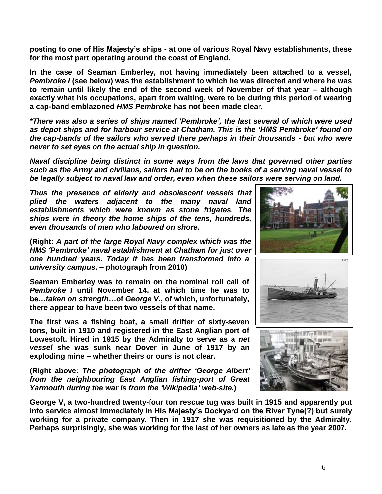**posting to one of His Majesty's ships - at one of various Royal Navy establishments, these for the most part operating around the coast of England.**

**In the case of Seaman Emberley, not having immediately been attached to a vessel,**  *Pembroke I* **(see below) was the establishment to which he was directed and where he was to remain until likely the end of the second week of November of that year – although exactly what his occupations, apart from waiting, were to be during this period of wearing a cap-band emblazoned** *HMS Pembroke* **has not been made clear.**

*\*There was also a series of ships named 'Pembroke', the last several of which were used as depot ships and for harbour service at Chatham. This is the 'HMS Pembroke' found on the cap-bands of the sailors who served there perhaps in their thousands - but who were never to set eyes on the actual ship in question.*

*Naval discipline being distinct in some ways from the laws that governed other parties such as the Army and civilians, sailors had to be on the books of a serving naval vessel to be legally subject to naval law and order, even when these sailors were serving on land.*

*Thus the presence of elderly and obsolescent vessels that plied the waters adjacent to the many naval land establishments which were known as stone frigates. The ships were in theory the home ships of the tens, hundreds, even thousands of men who laboured on shore.*

**(Right:** *A part of the large Royal Navy complex which was the HMS 'Pembroke' naval establishment at Chatham for just over one hundred years. Today it has been transformed into a university campus***. – photograph from 2010)**

**Seaman Emberley was to remain on the nominal roll call of** *Pembroke I* **until November 14, at which time he was to be…***taken on strength***…of** *George V***., of which, unfortunately, there appear to have been two vessels of that name.**

**The first was a fishing boat, a small drifter of sixty-seven tons, built in 1910 and registered in the East Anglian port of Lowestoft. Hired in 1915 by the Admiralty to serve as a** *net vessel* **she was sunk near Dover in June of 1917 by an exploding mine – whether theirs or ours is not clear.**

**(Right above:** *The photograph of the drifter 'George Albert' from the neighbouring East Anglian fishing-port of Great Yarmouth during the war is from the 'Wikipedia' web-site***.)**



**George V, a two-hundred twenty-four ton rescue tug was built in 1915 and apparently put into service almost immediately in His Majesty's Dockyard on the River Tyne(?) but surely working for a private company. Then in 1917 she was requisitioned by the Admiralty. Perhaps surprisingly, she was working for the last of her owners as late as the year 2007.**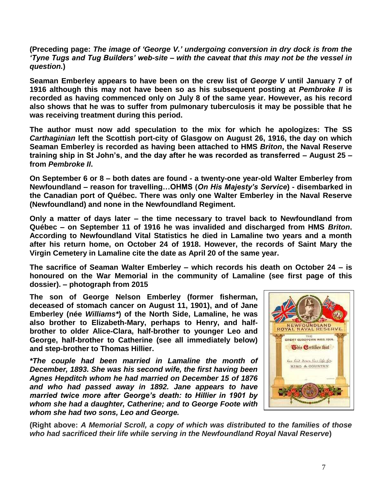**(Preceding page:** *The image of 'George V.' undergoing conversion in dry dock is from the 'Tyne Tugs and Tug Builders' web-site – with the caveat that this may not be the vessel in question.***)**

**Seaman Emberley appears to have been on the crew list of** *George V* **until January 7 of 1916 although this may not have been so as his subsequent posting at** *Pembroke II* **is recorded as having commenced only on July 8 of the same year. However, as his record also shows that he was to suffer from pulmonary tuberculosis it may be possible that he was receiving treatment during this period.**

**The author must now add speculation to the mix for which he apologizes: The SS**  *Carthaginian* **left the Scottish port-city of Glasgow on August 26, 1916, the day on which Seaman Emberley is recorded as having been attached to HMS** *Briton***, the Naval Reserve training ship in St John's, and the day after he was recorded as transferred – August 25 – from** *Pembroke II***.**

**On September 6 or 8 – both dates are found - a twenty-one year-old Walter Emberley from Newfoundland – reason for travelling…OHMS (***On His Majesty's Service***) - disembarked in the Canadian port of Québec. There was only one Walter Emberley in the Naval Reserve (Newfoundland) and none in the Newfoundland Regiment.**

**Only a matter of days later – the time necessary to travel back to Newfoundland from Québec – on September 11 of 1916 he was invalided and discharged from HMS** *Briton***. According to Newfoundland Vital Statistics he died in Lamaline two years and a month after his return home, on October 24 of 1918. However, the records of Saint Mary the Virgin Cemetery in Lamaline cite the date as April 20 of the same year.** 

**The sacrifice of Seaman Walter Emberley – which records his death on October 24 – is honoured on the War Memorial in the community of Lamaline (see first page of this dossier). – photograph from 2015**

**The son of George Nelson Emberley (former fisherman, deceased of stomach cancer on August 11, 1901), and of Jane Emberley (née** *Williams\****) of the North Side, Lamaline, he was also brother to Elizabeth-Mary, perhaps to Henry, and halfbrother to older Alice-Clara, half-brother to younger Leo and George, half-brother to Catherine (see all immediately below) and step-brother to Thomas Hillier.**

*\*The couple had been married in Lamaline the month of December, 1893. She was his second wife, the first having been Agnes Hepditch whom he had married on December 15 of 1876 and who had passed away in 1892. Jane appears to have married twice more after George's death: to Hillier in 1901 by whom she had a daughter, Catherine; and to George Foote with whom she had two sons, Leo and George.*



**(Right above:** *A Memorial Scroll, a copy of which was distributed to the families of those who had sacrificed their life while serving in the Newfoundland Royal Naval Reserve***)**